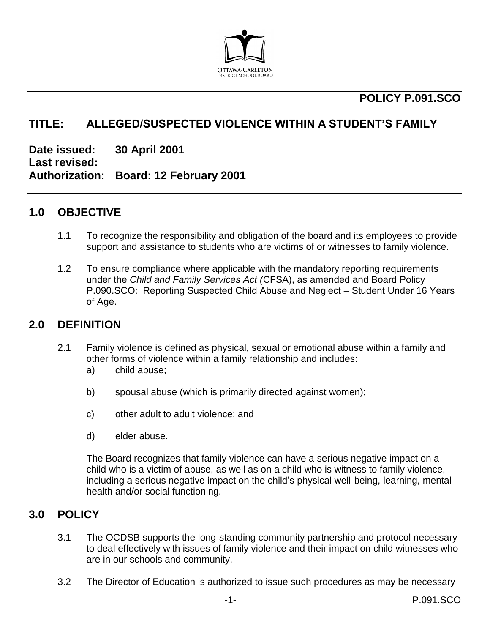

## **POLICY P.091.SCO**

## **TITLE: ALLEGED/SUSPECTED VIOLENCE WITHIN A STUDENT'S FAMILY**

**Date issued: 30 April 2001 Last revised: Authorization: Board: 12 February 2001**

### **1.0 OBJECTIVE**

- 1.1 To recognize the responsibility and obligation of the board and its employees to provide support and assistance to students who are victims of or witnesses to family violence.
- 1.2 To ensure compliance where applicable with the mandatory reporting requirements under the *Child and Family Services Act (*CFSA), as amended and Board Policy P.090.SCO: Reporting Suspected Child Abuse and Neglect – Student Under 16 Years of Age.

#### **2.0 DEFINITION**

- 2.1 Family violence is defined as physical, sexual or emotional abuse within a family and other forms of violence within a family relationship and includes:
	- a) child abuse;
	- b) spousal abuse (which is primarily directed against women);
	- c) other adult to adult violence; and
	- d) elder abuse.

The Board recognizes that family violence can have a serious negative impact on a child who is a victim of abuse, as well as on a child who is witness to family violence, including a serious negative impact on the child's physical well-being, learning, mental health and/or social functioning.

#### **3.0 POLICY**

- 3.1 The OCDSB supports the long-standing community partnership and protocol necessary to deal effectively with issues of family violence and their impact on child witnesses who are in our schools and community.
- 3.2 The Director of Education is authorized to issue such procedures as may be necessary